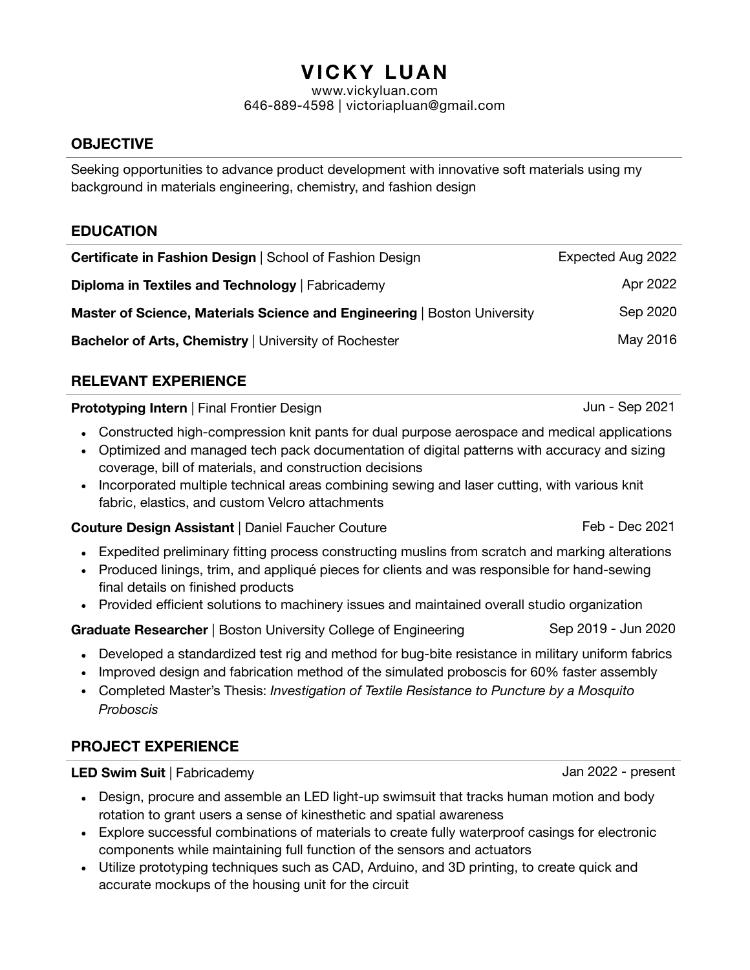# **VICKY LUAN**

[www.vickyluan.com](http://www.vickyluan.com) 646-889-4598 | [victoriapluan@gmail.com](mailto:victoriapluan@gmail.com)

# **OBJECTIVE**

Seeking opportunities to advance product development with innovative soft materials using my background in materials engineering, chemistry, and fashion design

# **EDUCATION**

| <b>Certificate in Fashion Design   School of Fashion Design</b>          | Expected Aug 2022 |
|--------------------------------------------------------------------------|-------------------|
| Diploma in Textiles and Technology   Fabricademy                         | Apr 2022          |
| Master of Science, Materials Science and Engineering   Boston University | Sep 2020          |
| Bachelor of Arts, Chemistry   University of Rochester                    | May 2016          |

# **RELEVANT EXPERIENCE**

**Prototyping Intern** | Final Frontier Design Jun - Sep 2021

- Constructed high-compression knit pants for dual purpose aerospace and medical applications
- Optimized and managed tech pack documentation of digital patterns with accuracy and sizing coverage, bill of materials, and construction decisions
- Incorporated multiple technical areas combining sewing and laser cutting, with various knit fabric, elastics, and custom Velcro attachments

**Couture Design Assistant** | Daniel Faucher Couture **Feb - Dec 2021** 

- Expedited preliminary fitting process constructing muslins from scratch and marking alterations
- Produced linings, trim, and appliqué pieces for clients and was responsible for hand-sewing final details on finished products
- Provided efficient solutions to machinery issues and maintained overall studio organization

**Graduate Researcher** | Boston University College of Engineering Sep 2019 - Jun 2020

- Developed a standardized test rig and method for bug-bite resistance in military uniform fabrics
- Improved design and fabrication method of the simulated proboscis for 60% faster assembly
- Completed Master's Thesis: *Investigation of Textile Resistance to Puncture by a Mosquito Proboscis*

# **PROJECT EXPERIENCE**

**LED Swim Suit** | Fabricademy **Jan 2022 - present** 

- Design, procure and assemble an LED light-up swimsuit that tracks human motion and body rotation to grant users a sense of kinesthetic and spatial awareness
- Explore successful combinations of materials to create fully waterproof casings for electronic components while maintaining full function of the sensors and actuators
- Utilize prototyping techniques such as CAD, Arduino, and 3D printing, to create quick and accurate mockups of the housing unit for the circuit